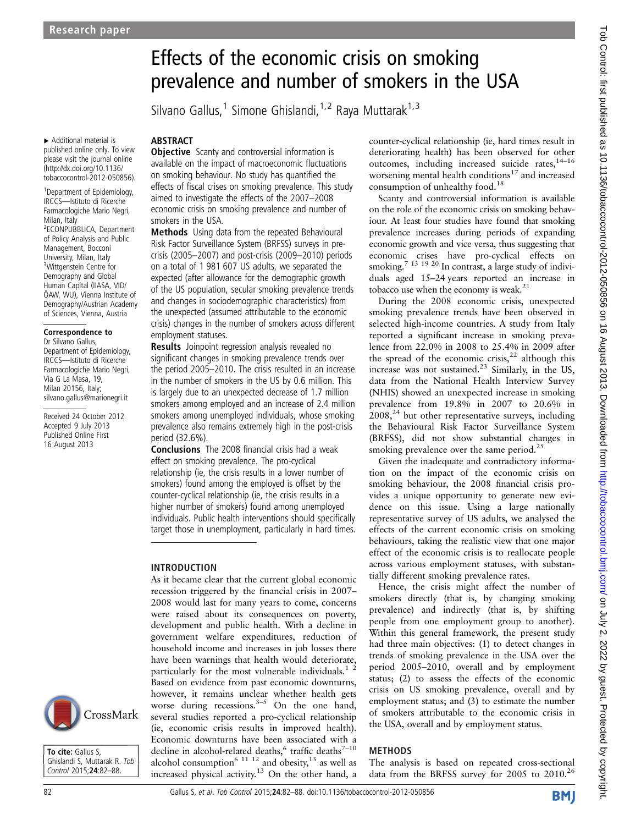▸ Additional material is published online only. To view please visit the journal online [\(http://dx.doi.org/10.1136/](http://dx.doi.org/10.1136/tobaccocontrol-2012-050856) [tobaccocontrol-2012-050856\)](http://dx.doi.org/10.1136/tobaccocontrol-2012-050856).

<sup>1</sup> Department of Epidemiology, IRCCS—Istituto di Ricerche Farmacologiche Mario Negri, Milan, Italy <sup>2</sup>ECONPUBBLICA, Department of Policy Analysis and Public Management, Bocconi University, Milan, Italy 3 Wittgenstein Centre for Demography and Global Human Capital (IIASA, VID/ ÖAW, WU), Vienna Institute of Demography/Austrian Academy of Sciences, Vienna, Austria

#### Correspondence to

Dr Silvano Gallus, Department of Epidemiology, IRCCS—Istituto di Ricerche Farmacologiche Mario Negri, Via G La Masa, 19, Milan 20156, Italy; silvano.gallus@marionegri.it

Received 24 October 2012 Accepted 9 July 2013 Published Online First 16 August 2013



To cite: Gallus S, Ghislandi S, Muttarak R. Tob Control 2015;24:82–88.

# ABSTRACT

**Objective** Scanty and controversial information is available on the impact of macroeconomic fluctuations on smoking behaviour. No study has quantified the effects of fiscal crises on smoking prevalence. This study aimed to investigate the effects of the 2007–2008 economic crisis on smoking prevalence and number of smokers in the USA.

Effects of the economic crisis on smoking

Silvano Gallus,<sup>1</sup> Simone Ghislandi,<sup>1,2</sup> Raya Muttarak<sup>1,3</sup>

prevalence and number of smokers in the USA

Methods Using data from the repeated Behavioural Risk Factor Surveillance System (BRFSS) surveys in precrisis (2005–2007) and post-crisis (2009–2010) periods on a total of 1 981 607 US adults, we separated the expected (after allowance for the demographic growth of the US population, secular smoking prevalence trends and changes in sociodemographic characteristics) from the unexpected (assumed attributable to the economic crisis) changes in the number of smokers across different employment statuses.

Results Joinpoint regression analysis revealed no significant changes in smoking prevalence trends over the period 2005–2010. The crisis resulted in an increase in the number of smokers in the US by 0.6 million. This is largely due to an unexpected decrease of 1.7 million smokers among employed and an increase of 2.4 million smokers among unemployed individuals, whose smoking prevalence also remains extremely high in the post-crisis period (32.6%).

Conclusions The 2008 financial crisis had a weak effect on smoking prevalence. The pro-cyclical relationship (ie, the crisis results in a lower number of smokers) found among the employed is offset by the counter-cyclical relationship (ie, the crisis results in a higher number of smokers) found among unemployed individuals. Public health interventions should specifically target those in unemployment, particularly in hard times.

#### INTRODUCTION

As it became clear that the current global economic recession triggered by the financial crisis in 2007– 2008 would last for many years to come, concerns were raised about its consequences on poverty, development and public health. With a decline in government welfare expenditures, reduction of household income and increases in job losses there have been warnings that health would deteriorate, particularly for the most vulnerable individuals.<sup>1</sup> <sup>2</sup> Based on evidence from past economic downturns, however, it remains unclear whether health gets worse during recessions. $3-5$  On the one hand, several studies reported a pro-cyclical relationship (ie, economic crisis results in improved health). Economic downturns have been associated with a decline in alcohol-related deaths,<sup>6</sup> traffic deaths<sup>7-10</sup> alcohol consumption<sup>6 11 12</sup> and obesity,<sup>13</sup> as well as increased physical activity.<sup>13</sup> On the other hand, a

counter-cyclical relationship (ie, hard times result in deteriorating health) has been observed for other outcomes, including increased suicide rates,  $14-16$ worsening mental health conditions<sup>17</sup> and increased consumption of unhealthy food.18

Scanty and controversial information is available on the role of the economic crisis on smoking behaviour. At least four studies have found that smoking prevalence increases during periods of expanding economic growth and vice versa, thus suggesting that economic crises have pro-cyclical effects on smoking.<sup>7</sup> <sup>13</sup> <sup>19</sup> <sup>20</sup> In contrast, a large study of individuals aged 15–24 years reported an increase in tobacco use when the economy is weak.<sup>21</sup>

During the 2008 economic crisis, unexpected smoking prevalence trends have been observed in selected high-income countries. A study from Italy reported a significant increase in smoking prevalence from 22.0% in 2008 to 25.4% in 2009 after the spread of the economic crisis,<sup>22</sup> although this increase was not sustained. $23$  Similarly, in the US, data from the National Health Interview Survey (NHIS) showed an unexpected increase in smoking prevalence from 19.8% in 2007 to 20.6% in  $2008<sup>24</sup>$  but other representative surveys, including the Behavioural Risk Factor Surveillance System (BRFSS), did not show substantial changes in smoking prevalence over the same period. $^{25}$ 

Given the inadequate and contradictory information on the impact of the economic crisis on smoking behaviour, the 2008 financial crisis provides a unique opportunity to generate new evidence on this issue. Using a large nationally representative survey of US adults, we analysed the effects of the current economic crisis on smoking behaviours, taking the realistic view that one major effect of the economic crisis is to reallocate people across various employment statuses, with substantially different smoking prevalence rates.

Hence, the crisis might affect the number of smokers directly (that is, by changing smoking prevalence) and indirectly (that is, by shifting people from one employment group to another). Within this general framework, the present study had three main objectives: (1) to detect changes in trends of smoking prevalence in the USA over the period 2005–2010, overall and by employment status; (2) to assess the effects of the economic crisis on US smoking prevalence, overall and by employment status; and (3) to estimate the number of smokers attributable to the economic crisis in the USA, overall and by employment status.

#### METHODS

The analysis is based on repeated cross-sectional data from the BRFSS survey for 2005 to 2010.26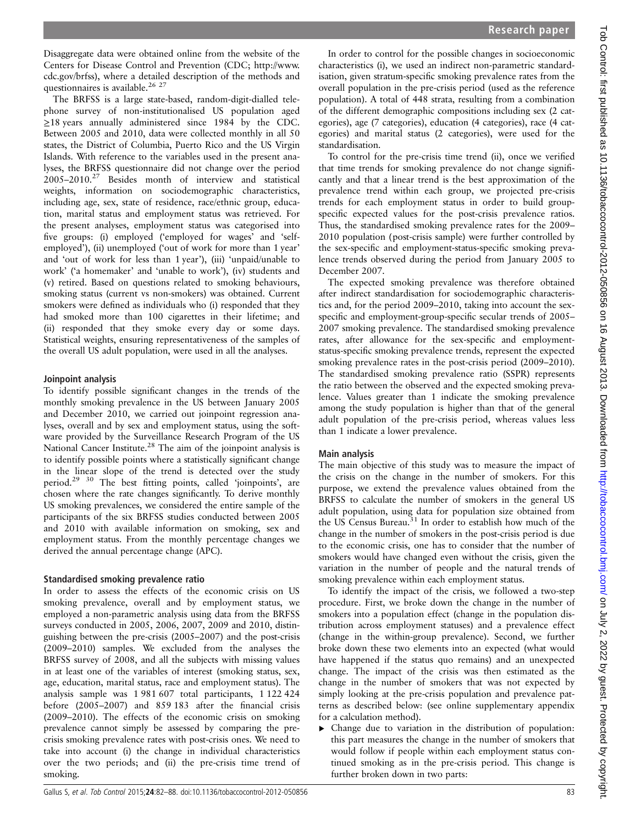Disaggregate data were obtained online from the website of the Centers for Disease Control and Prevention (CDC; [http://www.](http://www.cdc.gov/brfss) [cdc.gov/brfss\)](http://www.cdc.gov/brfss), where a detailed description of the methods and questionnaires is available.<sup>26</sup> <sup>27</sup>

The BRFSS is a large state-based, random-digit-dialled telephone survey of non-institutionalised US population aged ≥18 years annually administered since 1984 by the CDC. Between 2005 and 2010, data were collected monthly in all 50 states, the District of Columbia, Puerto Rico and the US Virgin Islands. With reference to the variables used in the present analyses, the BRFSS questionnaire did not change over the period  $2005-2010.<sup>27</sup>$  Besides month of interview and statistical weights, information on sociodemographic characteristics, including age, sex, state of residence, race/ethnic group, education, marital status and employment status was retrieved. For the present analyses, employment status was categorised into five groups: (i) employed ('employed for wages' and 'selfemployed'), (ii) unemployed ('out of work for more than 1 year' and 'out of work for less than 1 year'), (iii) 'unpaid/unable to work' ('a homemaker' and 'unable to work'), (iv) students and (v) retired. Based on questions related to smoking behaviours, smoking status (current vs non-smokers) was obtained. Current smokers were defined as individuals who (i) responded that they had smoked more than 100 cigarettes in their lifetime; and (ii) responded that they smoke every day or some days. Statistical weights, ensuring representativeness of the samples of the overall US adult population, were used in all the analyses.

## Joinpoint analysis

To identify possible significant changes in the trends of the monthly smoking prevalence in the US between January 2005 and December 2010, we carried out joinpoint regression analyses, overall and by sex and employment status, using the software provided by the Surveillance Research Program of the US National Cancer Institute.<sup>28</sup> The aim of the joinpoint analysis is to identify possible points where a statistically significant change in the linear slope of the trend is detected over the study period.29 30 The best fitting points, called 'joinpoints', are chosen where the rate changes significantly. To derive monthly US smoking prevalences, we considered the entire sample of the participants of the six BRFSS studies conducted between 2005 and 2010 with available information on smoking, sex and employment status. From the monthly percentage changes we derived the annual percentage change (APC).

## Standardised smoking prevalence ratio

In order to assess the effects of the economic crisis on US smoking prevalence, overall and by employment status, we employed a non-parametric analysis using data from the BRFSS surveys conducted in 2005, 2006, 2007, 2009 and 2010, distinguishing between the pre-crisis (2005–2007) and the post-crisis (2009–2010) samples. We excluded from the analyses the BRFSS survey of 2008, and all the subjects with missing values in at least one of the variables of interest (smoking status, sex, age, education, marital status, race and employment status). The analysis sample was 1 981 607 total participants, 1 122 424 before (2005–2007) and 859 183 after the financial crisis (2009–2010). The effects of the economic crisis on smoking prevalence cannot simply be assessed by comparing the precrisis smoking prevalence rates with post-crisis ones. We need to take into account (i) the change in individual characteristics over the two periods; and (ii) the pre-crisis time trend of smoking.

In order to control for the possible changes in socioeconomic characteristics (i), we used an indirect non-parametric standardisation, given stratum-specific smoking prevalence rates from the overall population in the pre-crisis period (used as the reference population). A total of 448 strata, resulting from a combination of the different demographic compositions including sex (2 categories), age (7 categories), education (4 categories), race (4 categories) and marital status (2 categories), were used for the standardisation.

To control for the pre-crisis time trend (ii), once we verified that time trends for smoking prevalence do not change significantly and that a linear trend is the best approximation of the prevalence trend within each group, we projected pre-crisis trends for each employment status in order to build groupspecific expected values for the post-crisis prevalence ratios. Thus, the standardised smoking prevalence rates for the 2009– 2010 population (post-crisis sample) were further controlled by the sex-specific and employment-status-specific smoking prevalence trends observed during the period from January 2005 to December 2007.

The expected smoking prevalence was therefore obtained after indirect standardisation for sociodemographic characteristics and, for the period 2009–2010, taking into account the sexspecific and employment-group-specific secular trends of 2005– 2007 smoking prevalence. The standardised smoking prevalence rates, after allowance for the sex-specific and employmentstatus-specific smoking prevalence trends, represent the expected smoking prevalence rates in the post-crisis period (2009–2010). The standardised smoking prevalence ratio (SSPR) represents the ratio between the observed and the expected smoking prevalence. Values greater than 1 indicate the smoking prevalence among the study population is higher than that of the general adult population of the pre-crisis period, whereas values less than 1 indicate a lower prevalence.

# Main analysis

The main objective of this study was to measure the impact of the crisis on the change in the number of smokers. For this purpose, we extend the prevalence values obtained from the BRFSS to calculate the number of smokers in the general US adult population, using data for population size obtained from the US Census Bureau.<sup>31</sup> In order to establish how much of the change in the number of smokers in the post-crisis period is due to the economic crisis, one has to consider that the number of smokers would have changed even without the crisis, given the variation in the number of people and the natural trends of smoking prevalence within each employment status.

To identify the impact of the crisis, we followed a two-step procedure. First, we broke down the change in the number of smokers into a population effect (change in the population distribution across employment statuses) and a prevalence effect (change in the within-group prevalence). Second, we further broke down these two elements into an expected (what would have happened if the status quo remains) and an unexpected change. The impact of the crisis was then estimated as the change in the number of smokers that was not expected by simply looking at the pre-crisis population and prevalence patterns as described below: (see online supplementary appendix for a calculation method).

▸ Change due to variation in the distribution of population: this part measures the change in the number of smokers that would follow if people within each employment status continued smoking as in the pre-crisis period. This change is further broken down in two parts: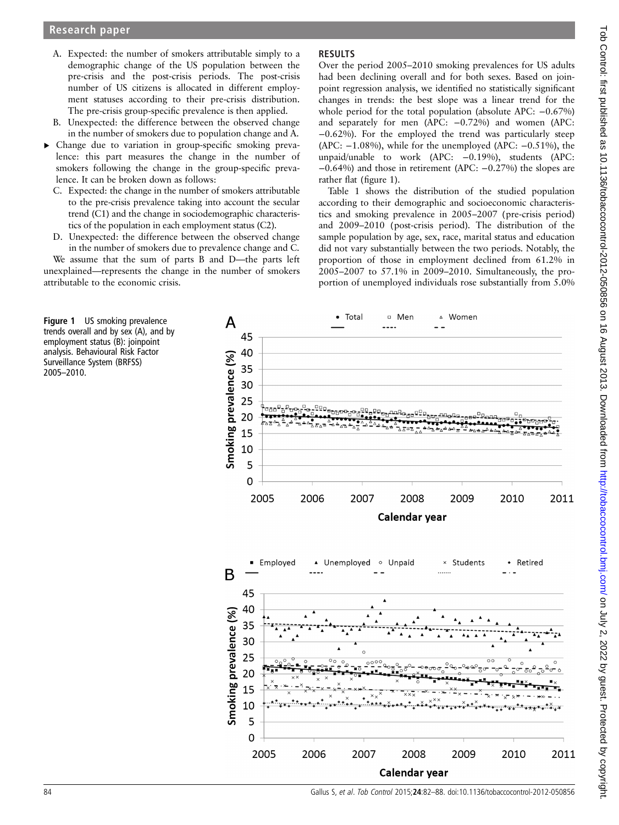- A. Expected: the number of smokers attributable simply to a demographic change of the US population between the pre-crisis and the post-crisis periods. The post-crisis number of US citizens is allocated in different employment statuses according to their pre-crisis distribution. The pre-crisis group-specific prevalence is then applied.
- B. Unexpected: the difference between the observed change in the number of smokers due to population change and A.
- ▸ Change due to variation in group-specific smoking prevalence: this part measures the change in the number of smokers following the change in the group-specific prevalence. It can be broken down as follows:
	- C. Expected: the change in the number of smokers attributable to the pre-crisis prevalence taking into account the secular trend (C1) and the change in sociodemographic characteristics of the population in each employment status (C2).
	- D. Unexpected: the difference between the observed change in the number of smokers due to prevalence change and C.

We assume that the sum of parts B and D—the parts left unexplained—represents the change in the number of smokers attributable to the economic crisis.

# RESULTS

Over the period 2005–2010 smoking prevalences for US adults had been declining overall and for both sexes. Based on joinpoint regression analysis, we identified no statistically significant changes in trends: the best slope was a linear trend for the whole period for the total population (absolute APC: −0.67%) and separately for men (APC: −0.72%) and women (APC: −0.62%). For the employed the trend was particularly steep (APC:  $-1.08\%$ ), while for the unemployed (APC:  $-0.51\%$ ), the unpaid/unable to work (APC: -0.19%), students (APC: −0.64%) and those in retirement (APC: −0.27%) the slopes are rather flat (figure 1).

Table 1 shows the distribution of the studied population according to their demographic and socioeconomic characteristics and smoking prevalence in 2005–2007 (pre-crisis period) and 2009–2010 (post-crisis period). The distribution of the sample population by age, sex, race, marital status and education did not vary substantially between the two periods. Notably, the proportion of those in employment declined from 61.2% in 2005–2007 to 57.1% in 2009–2010. Simultaneously, the proportion of unemployed individuals rose substantially from 5.0%

Figure 1 US smoking prevalence trends overall and by sex (A), and by employment status (B): joinpoint analysis. Behavioural Risk Factor Surveillance System (BRFSS) 2005–2010.

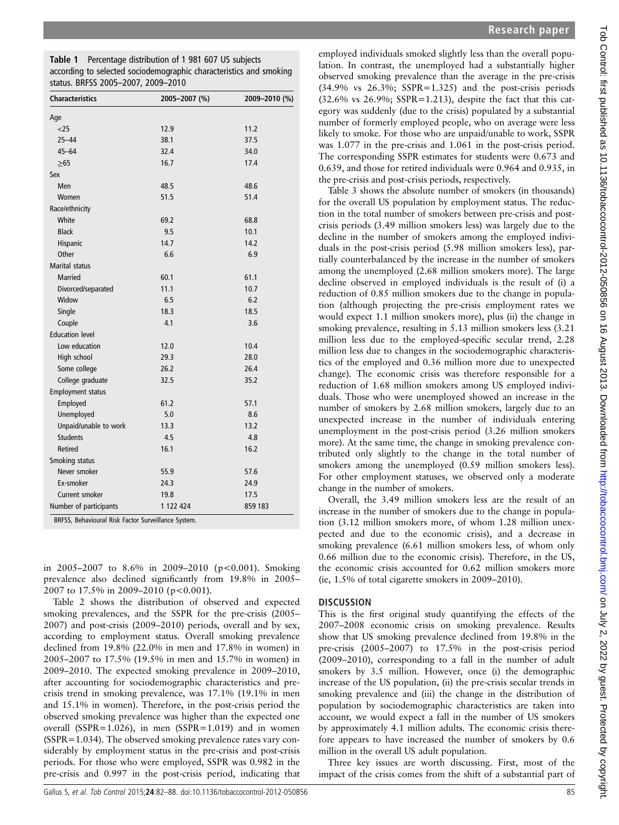| Table 1 Percentage distribution of 1 981 607 US subjects           |
|--------------------------------------------------------------------|
| according to selected sociodemographic characteristics and smoking |
| status, BRFSS 2005-2007, 2009-2010                                 |

| Characteristics          | 2005-2007 (%) | 2009-2010 (%) |  |  |
|--------------------------|---------------|---------------|--|--|
| Aqe                      |               |               |  |  |
| $<$ 25                   | 12.9          | 11.2          |  |  |
| $25 - 44$                | 38.1          | 37.5          |  |  |
| $45 - 64$                | 32.4          | 34.0          |  |  |
| $\geq 65$                | 16.7          | 17.4          |  |  |
| Sex                      |               |               |  |  |
| Men                      | 48.5          | 48.6          |  |  |
| Women                    | 51.5          | 51.4          |  |  |
| Race/ethnicity           |               |               |  |  |
| White                    | 69.2          | 68.8          |  |  |
| <b>Black</b>             | 9.5           | 10.1          |  |  |
| Hispanic                 | 14.7          | 14.2          |  |  |
| Other                    | 6.6           | 6.9           |  |  |
| <b>Marital status</b>    |               |               |  |  |
| <b>Married</b>           | 60.1          | 61.1          |  |  |
| Divorced/separated       | 11.1          | 10.7          |  |  |
| Widow                    | 6.5           | 6.2           |  |  |
| Single                   | 18.3          | 18.5          |  |  |
| Couple                   | 4.1           | 3.6           |  |  |
| <b>Education level</b>   |               |               |  |  |
| Low education            | 12.0          | 10.4          |  |  |
| High school              | 29.3          | 28.0          |  |  |
| Some college             | 26.2          | 26.4          |  |  |
| College graduate         | 32.5          | 35.2          |  |  |
| <b>Employment status</b> |               |               |  |  |
| Employed                 | 61.2          | 57.1          |  |  |
| Unemployed               | 5.0           | 8.6           |  |  |
| Unpaid/unable to work    | 13.3          | 13.2          |  |  |
| <b>Students</b>          | 4.5           | 4.8           |  |  |
| Retired                  | 16.1          | 16.2          |  |  |
| Smoking status           |               |               |  |  |
| Never smoker             | 55.9          | 57.6          |  |  |
| Ex-smoker                | 24.3          | 24.9          |  |  |
| Current smoker           | 19.8          | 17.5          |  |  |
| Number of participants   | 1 122 424     | 859 183       |  |  |

BRFSS, Behavioural Risk Factor Surveillance System.

in 2005–2007 to 8.6% in 2009–2010 (p<0.001). Smoking prevalence also declined significantly from 19.8% in 2005– 2007 to 17.5% in 2009–2010 (p<0.001).

Table 2 shows the distribution of observed and expected smoking prevalences, and the SSPR for the pre-crisis (2005– 2007) and post-crisis (2009–2010) periods, overall and by sex, according to employment status. Overall smoking prevalence declined from 19.8% (22.0% in men and 17.8% in women) in 2005–2007 to 17.5% (19.5% in men and 15.7% in women) in 2009–2010. The expected smoking prevalence in 2009–2010, after accounting for sociodemographic characteristics and precrisis trend in smoking prevalence, was 17.1% (19.1% in men and 15.1% in women). Therefore, in the post-crisis period the observed smoking prevalence was higher than the expected one overall (SSPR=1.026), in men (SSPR=1.019) and in women (SSPR=1.034). The observed smoking prevalence rates vary considerably by employment status in the pre-crisis and post-crisis periods. For those who were employed, SSPR was 0.982 in the pre-crisis and 0.997 in the post-crisis period, indicating that

employed individuals smoked slightly less than the overall population. In contrast, the unemployed had a substantially higher observed smoking prevalence than the average in the pre-crisis  $(34.9\%$  vs  $26.3\%$ ; SSPR=1.325) and the post-crisis periods (32.6% vs 26.9%; SSPR=1.213), despite the fact that this category was suddenly (due to the crisis) populated by a substantial number of formerly employed people, who on average were less likely to smoke. For those who are unpaid/unable to work, SSPR was 1.077 in the pre-crisis and 1.061 in the post-crisis period. The corresponding SSPR estimates for students were 0.673 and 0.639, and those for retired individuals were 0.964 and 0.935, in the pre-crisis and post-crisis periods, respectively.

Table 3 shows the absolute number of smokers (in thousands) for the overall US population by employment status. The reduction in the total number of smokers between pre-crisis and postcrisis periods (3.49 million smokers less) was largely due to the decline in the number of smokers among the employed individuals in the post-crisis period (5.98 million smokers less), partially counterbalanced by the increase in the number of smokers among the unemployed (2.68 million smokers more). The large decline observed in employed individuals is the result of (i) a reduction of 0.85 million smokers due to the change in population (although projecting the pre-crisis employment rates we would expect 1.1 million smokers more), plus (ii) the change in smoking prevalence, resulting in 5.13 million smokers less (3.21 million less due to the employed-specific secular trend, 2.28 million less due to changes in the sociodemographic characteristics of the employed and 0.36 million more due to unexpected change). The economic crisis was therefore responsible for a reduction of 1.68 million smokers among US employed individuals. Those who were unemployed showed an increase in the number of smokers by 2.68 million smokers, largely due to an unexpected increase in the number of individuals entering unemployment in the post-crisis period (3.26 million smokers more). At the same time, the change in smoking prevalence contributed only slightly to the change in the total number of smokers among the unemployed (0.59 million smokers less). For other employment statuses, we observed only a moderate change in the number of smokers.

Overall, the 3.49 million smokers less are the result of an increase in the number of smokers due to the change in population (3.12 million smokers more, of whom 1.28 million unexpected and due to the economic crisis), and a decrease in smoking prevalence (6.61 million smokers less, of whom only 0.66 million due to the economic crisis). Therefore, in the US, the economic crisis accounted for 0.62 million smokers more (ie, 1.5% of total cigarette smokers in 2009–2010).

## **DISCUSSION**

This is the first original study quantifying the effects of the 2007–2008 economic crisis on smoking prevalence. Results show that US smoking prevalence declined from 19.8% in the pre-crisis (2005–2007) to 17.5% in the post-crisis period (2009–2010), corresponding to a fall in the number of adult smokers by 3.5 million. However, once (i) the demographic increase of the US population, (ii) the pre-crisis secular trends in smoking prevalence and (iii) the change in the distribution of population by sociodemographic characteristics are taken into account, we would expect a fall in the number of US smokers by approximately 4.1 million adults. The economic crisis therefore appears to have increased the number of smokers by 0.6 million in the overall US adult population.

Three key issues are worth discussing. First, most of the impact of the crisis comes from the shift of a substantial part of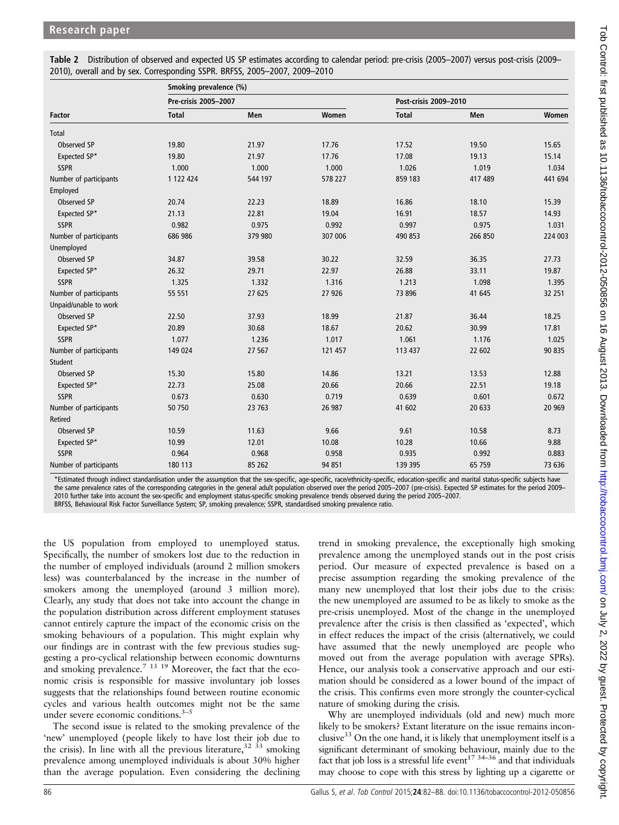|                        | Smoking prevalence (%) |         |         |                       |         |         |
|------------------------|------------------------|---------|---------|-----------------------|---------|---------|
|                        | Pre-crisis 2005-2007   |         |         | Post-crisis 2009-2010 |         |         |
| <b>Factor</b>          | <b>Total</b>           | Men     | Women   | <b>Total</b>          | Men     | Women   |
| <b>Total</b>           |                        |         |         |                       |         |         |
| Observed SP            | 19.80                  | 21.97   | 17.76   | 17.52                 | 19.50   | 15.65   |
| Expected SP*           | 19.80                  | 21.97   | 17.76   | 17.08                 | 19.13   | 15.14   |
| <b>SSPR</b>            | 1.000                  | 1.000   | 1.000   | 1.026                 | 1.019   | 1.034   |
| Number of participants | 1 122 424              | 544 197 | 578 227 | 859 183               | 417 489 | 441 694 |
| Employed               |                        |         |         |                       |         |         |
| Observed SP            | 20.74                  | 22.23   | 18.89   | 16.86                 | 18.10   | 15.39   |
| Expected SP*           | 21.13                  | 22.81   | 19.04   | 16.91                 | 18.57   | 14.93   |
| <b>SSPR</b>            | 0.982                  | 0.975   | 0.992   | 0.997                 | 0.975   | 1.031   |
| Number of participants | 686 986                | 379 980 | 307 006 | 490 853               | 266 850 | 224 003 |
| Unemployed             |                        |         |         |                       |         |         |
| Observed SP            | 34.87                  | 39.58   | 30.22   | 32.59                 | 36.35   | 27.73   |
| Expected SP*           | 26.32                  | 29.71   | 22.97   | 26.88                 | 33.11   | 19.87   |
| <b>SSPR</b>            | 1.325                  | 1.332   | 1.316   | 1.213                 | 1.098   | 1.395   |
| Number of participants | 55 551                 | 27 625  | 27 9 26 | 73 896                | 41 645  | 32 251  |
| Unpaid/unable to work  |                        |         |         |                       |         |         |
| Observed SP            | 22.50                  | 37.93   | 18.99   | 21.87                 | 36.44   | 18.25   |
| Expected SP*           | 20.89                  | 30.68   | 18.67   | 20.62                 | 30.99   | 17.81   |
| <b>SSPR</b>            | 1.077                  | 1.236   | 1.017   | 1.061                 | 1.176   | 1.025   |
| Number of participants | 149 024                | 27 567  | 121 457 | 113 437               | 22 602  | 90 835  |
| Student                |                        |         |         |                       |         |         |
| Observed SP            | 15.30                  | 15.80   | 14.86   | 13.21                 | 13.53   | 12.88   |
| Expected SP*           | 22.73                  | 25.08   | 20.66   | 20.66                 | 22.51   | 19.18   |
| <b>SSPR</b>            | 0.673                  | 0.630   | 0.719   | 0.639                 | 0.601   | 0.672   |
| Number of participants | 50 750                 | 23 763  | 26 987  | 41 602                | 20 633  | 20 969  |
| Retired                |                        |         |         |                       |         |         |
| Observed SP            | 10.59                  | 11.63   | 9.66    | 9.61                  | 10.58   | 8.73    |
| Expected SP*           | 10.99                  | 12.01   | 10.08   | 10.28                 | 10.66   | 9.88    |
| <b>SSPR</b>            | 0.964                  | 0.968   | 0.958   | 0.935                 | 0.992   | 0.883   |
| Number of participants | 180 113                | 85 262  | 94 851  | 139 395               | 65 759  | 73 636  |

Table 2 Distribution of observed and expected US SP estimates according to calendar period: pre-crisis (2005–2007) versus post-crisis (2009– 2010), overall and by sex. Corresponding SSPR. BRFSS, 2005–2007, 2009–2010

\*Estimated through indirect standardisation under the assumption that the sex-specific, age-specific, race/ethnicity-specific, education-specific and marital status-specific subjects have<br>the same prevalence rates of the c 2010 further take into account the sex-specific and employment status-specific smoking prevalence trends observed during the period 2005–2007. BRFSS, Behavioural Risk Factor Surveillance System; SP, smoking prevalence; SSPR, standardised smoking prevalence ratio.

the US population from employed to unemployed status. Specifically, the number of smokers lost due to the reduction in the number of employed individuals (around 2 million smokers less) was counterbalanced by the increase in the number of smokers among the unemployed (around 3 million more). Clearly, any study that does not take into account the change in the population distribution across different employment statuses cannot entirely capture the impact of the economic crisis on the smoking behaviours of a population. This might explain why our findings are in contrast with the few previous studies suggesting a pro-cyclical relationship between economic downturns and smoking prevalence.<sup>7 13 19</sup> Moreover, the fact that the economic crisis is responsible for massive involuntary job losses suggests that the relationships found between routine economic cycles and various health outcomes might not be the same under severe economic conditions. $3-5$ 

The second issue is related to the smoking prevalence of the 'new' unemployed (people likely to have lost their job due to the crisis). In line with all the previous literature,  $32\frac{33}{13}$  smoking prevalence among unemployed individuals is about 30% higher than the average population. Even considering the declining

trend in smoking prevalence, the exceptionally high smoking prevalence among the unemployed stands out in the post crisis period. Our measure of expected prevalence is based on a precise assumption regarding the smoking prevalence of the many new unemployed that lost their jobs due to the crisis: the new unemployed are assumed to be as likely to smoke as the pre-crisis unemployed. Most of the change in the unemployed prevalence after the crisis is then classified as 'expected', which in effect reduces the impact of the crisis (alternatively, we could have assumed that the newly unemployed are people who moved out from the average population with average SPRs). Hence, our analysis took a conservative approach and our estimation should be considered as a lower bound of the impact of the crisis. This confirms even more strongly the counter-cyclical nature of smoking during the crisis.

Why are unemployed individuals (old and new) much more likely to be smokers? Extant literature on the issue remains inconclusive $33$  On the one hand, it is likely that unemployment itself is a significant determinant of smoking behaviour, mainly due to the fact that job loss is a stressful life event<sup>17 34–36</sup> and that individuals may choose to cope with this stress by lighting up a cigarette or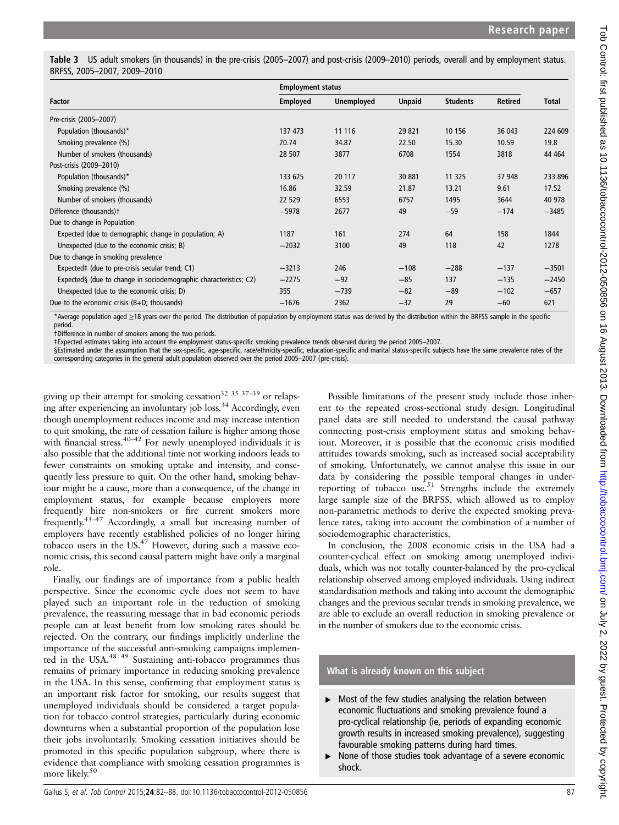|  |                             | Table 3 US adult smokers (in thousands) in the pre-crisis (2005–2007) and post-crisis (2009–2010) periods, overall and by employment status. |  |  |  |  |  |
|--|-----------------------------|----------------------------------------------------------------------------------------------------------------------------------------------|--|--|--|--|--|
|  | BRFSS, 2005–2007, 2009–2010 |                                                                                                                                              |  |  |  |  |  |

|                                                                   | <b>Employment status</b> |                   |               |                 |                |         |  |
|-------------------------------------------------------------------|--------------------------|-------------------|---------------|-----------------|----------------|---------|--|
| <b>Factor</b>                                                     | <b>Employed</b>          | <b>Unemployed</b> | <b>Unpaid</b> | <b>Students</b> | <b>Retired</b> | Total   |  |
| Pre-crisis (2005-2007)                                            |                          |                   |               |                 |                |         |  |
| Population (thousands)*                                           | 137 473                  | 11 116            | 29 821        | 10 15 6         | 36 043         | 224 609 |  |
| Smoking prevalence (%)                                            | 20.74                    | 34.87             | 22.50         | 15.30           | 10.59          | 19.8    |  |
| Number of smokers (thousands)                                     | 28 507                   | 3877              | 6708          | 1554            | 3818           | 44 4 64 |  |
| Post-crisis (2009-2010)                                           |                          |                   |               |                 |                |         |  |
| Population (thousands)*                                           | 133 625                  | 20 117            | 30 881        | 11 325          | 37 948         | 233 896 |  |
| Smoking prevalence (%)                                            | 16.86                    | 32.59             | 21.87         | 13.21           | 9.61           | 17.52   |  |
| Number of smokers (thousands)                                     | 22 5 29                  | 6553              | 6757          | 1495            | 3644           | 40 978  |  |
| Difference (thousands)t                                           | $-5978$                  | 2677              | 49            | $-59$           | $-174$         | $-3485$ |  |
| Due to change in Population                                       |                          |                   |               |                 |                |         |  |
| Expected (due to demographic change in population; A)             | 1187                     | 161               | 274           | 64              | 158            | 1844    |  |
| Unexpected (due to the economic crisis; B)                        | $-2032$                  | 3100              | 49            | 118             | 42             | 1278    |  |
| Due to change in smoking prevalence                               |                          |                   |               |                 |                |         |  |
| Expected# (due to pre-crisis secular trend; C1)                   | $-3213$                  | 246               | $-108$        | $-288$          | $-137$         | $-3501$ |  |
| Expected§ (due to change in sociodemographic characteristics; C2) | $-2275$                  | $-92$             | $-85$         | 137             | $-135$         | $-2450$ |  |
| Unexpected (due to the economic crisis; D)                        | 355                      | $-739$            | $-82$         | $-89$           | $-102$         | $-657$  |  |
| Due to the economic crisis $(B+D)$ ; thousands)                   | $-1676$                  | 2362              | $-32$         | 29              | $-60$          | 621     |  |

\*Average population aged ≥18 years over the period. The distribution of population by employment status was derived by the distribution within the BRFSS sample in the specific

period. †Difference in number of smokers among the two periods.

‡Expected estimates taking into account the employment status-specific smoking prevalence trends observed during the period 2005–2007.

§Estimated under the assumption that the sex-specific, age-specific, race/ethnicity-specific, education-specific and marital status-specific subjects have the same prevalence rates of the<br>corresponding categories in the ge

giving up their attempt for smoking cessation<sup>32</sup> 35 37-39 or relapsing after experiencing an involuntary job loss.<sup>34</sup> Accordingly, even though unemployment reduces income and may increase intention to quit smoking, the rate of cessation failure is higher among those with financial stress.<sup>40–42</sup> For newly unemployed individuals it is also possible that the additional time not working indoors leads to fewer constraints on smoking uptake and intensity, and consequently less pressure to quit. On the other hand, smoking behaviour might be a cause, more than a consequence, of the change in employment status, for example because employers more frequently hire non-smokers or fire current smokers more frequently.43–<sup>47</sup> Accordingly, a small but increasing number of employers have recently established policies of no longer hiring tobacco users in the US.<sup>47</sup> However, during such a massive economic crisis, this second causal pattern might have only a marginal role.

Finally, our findings are of importance from a public health perspective. Since the economic cycle does not seem to have played such an important role in the reduction of smoking prevalence, the reassuring message that in bad economic periods people can at least benefit from low smoking rates should be rejected. On the contrary, our findings implicitly underline the importance of the successful anti-smoking campaigns implemented in the USA.48 49 Sustaining anti-tobacco programmes thus remains of primary importance in reducing smoking prevalence in the USA. In this sense, confirming that employment status is an important risk factor for smoking, our results suggest that unemployed individuals should be considered a target population for tobacco control strategies, particularly during economic downturns when a substantial proportion of the population lose their jobs involuntarily. Smoking cessation initiatives should be promoted in this specific population subgroup, where there is evidence that compliance with smoking cessation programmes is more likely.<sup>50</sup>

Possible limitations of the present study include those inherent to the repeated cross-sectional study design. Longitudinal panel data are still needed to understand the causal pathway connecting post-crisis employment status and smoking behaviour. Moreover, it is possible that the economic crisis modified attitudes towards smoking, such as increased social acceptability of smoking. Unfortunately, we cannot analyse this issue in our data by considering the possible temporal changes in underreporting of tobacco use.<sup>51</sup> Strengths include the extremely large sample size of the BRFSS, which allowed us to employ non-parametric methods to derive the expected smoking prevalence rates, taking into account the combination of a number of sociodemographic characteristics.

In conclusion, the 2008 economic crisis in the USA had a counter-cyclical effect on smoking among unemployed individuals, which was not totally counter-balanced by the pro-cyclical relationship observed among employed individuals. Using indirect standardisation methods and taking into account the demographic changes and the previous secular trends in smoking prevalence, we are able to exclude an overall reduction in smoking prevalence or in the number of smokers due to the economic crisis.

## What is already known on this subject

- ▶ Most of the few studies analysing the relation between economic fluctuations and smoking prevalence found a pro-cyclical relationship (ie, periods of expanding economic growth results in increased smoking prevalence), suggesting favourable smoking patterns during hard times.
- ▶ None of those studies took advantage of a severe economic shock.